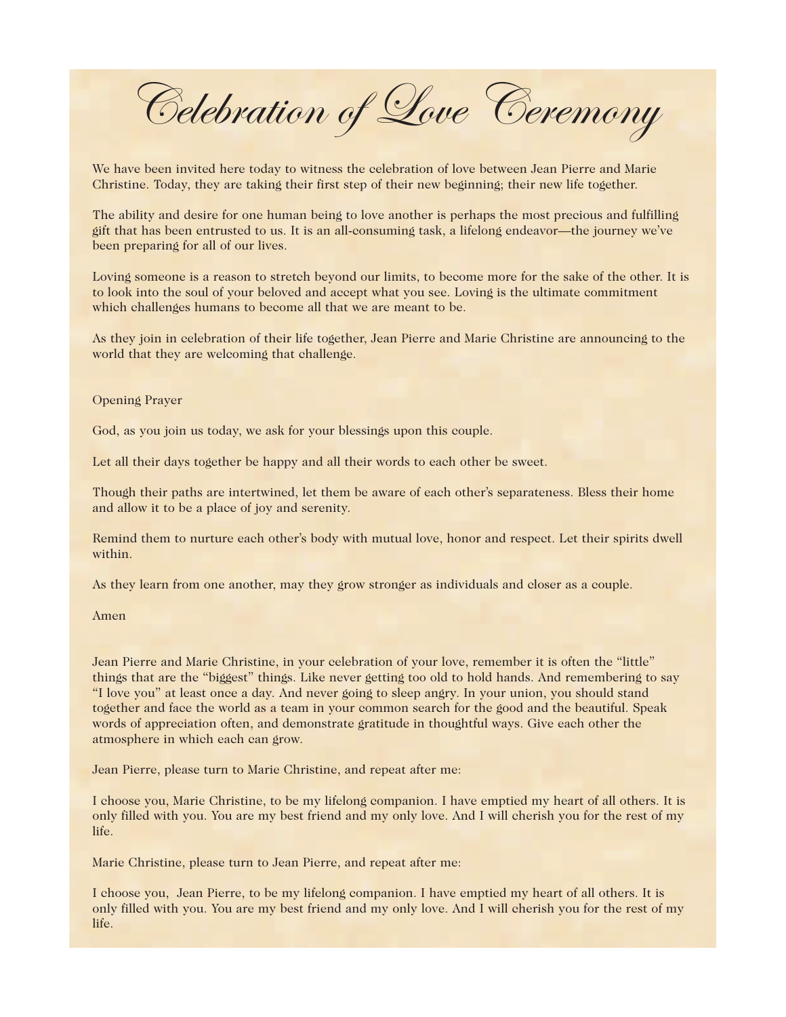Celebration of Love Ceremony

We have been invited here today to witness the celebration of love between Jean Pierre and Marie Christine. Today, they are taking their first step of their new beginning; their new life together.

The ability and desire for one human being to love another is perhaps the most precious and fulfilling gift that has been entrusted to us. It is an all-consuming task, a lifelong endeavor—the journey we've been preparing for all of our lives.

Loving someone is a reason to stretch beyond our limits, to become more for the sake of the other. It is to look into the soul of your beloved and accept what you see. Loving is the ultimate commitment which challenges humans to become all that we are meant to be.

As they join in celebration of their life together, Jean Pierre and Marie Christine are announcing to the world that they are welcoming that challenge.

## Opening Prayer

God, as you join us today, we ask for your blessings upon this couple.

Let all their days together be happy and all their words to each other be sweet.

Though their paths are intertwined, let them be aware of each other's separateness. Bless their home and allow it to be a place of joy and serenity.

Remind them to nurture each other's body with mutual love, honor and respect. Let their spirits dwell within.

As they learn from one another, may they grow stronger as individuals and closer as a couple.

Amen

Jean Pierre and Marie Christine, in your celebration of your love, remember it is often the "little" things that are the "biggest" things. Like never getting too old to hold hands. And remembering to say "I love you" at least once a day. And never going to sleep angry. In your union, you should stand together and face the world as a team in your common search for the good and the beautiful. Speak words of appreciation often, and demonstrate gratitude in thoughtful ways. Give each other the atmosphere in which each can grow.

Jean Pierre, please turn to Marie Christine, and repeat after me:

I choose you, Marie Christine, to be my lifelong companion. I have emptied my heart of all others. It is only filled with you. You are my best friend and my only love. And I will cherish you for the rest of my life.

Marie Christine, please turn to Jean Pierre, and repeat after me:

I choose you, Jean Pierre, to be my lifelong companion. I have emptied my heart of all others. It is only filled with you. You are my best friend and my only love. And I will cherish you for the rest of my life.